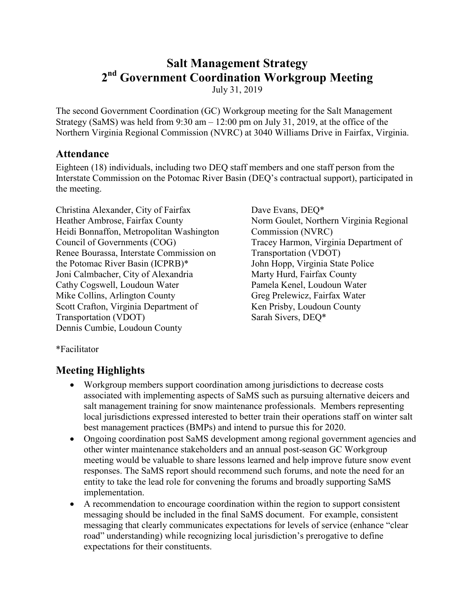# **Salt Management Strategy 2nd Government Coordination Workgroup Meeting**

July 31, 2019

The second Government Coordination (GC) Workgroup meeting for the Salt Management Strategy (SaMS) was held from  $9:30$  am  $-12:00$  pm on July 31, 2019, at the office of the Northern Virginia Regional Commission (NVRC) at 3040 Williams Drive in Fairfax, Virginia.

# **Attendance**

Eighteen (18) individuals, including two DEQ staff members and one staff person from the Interstate Commission on the Potomac River Basin (DEQ's contractual support), participated in the meeting.

Christina Alexander, City of Fairfax Heather Ambrose, Fairfax County Heidi Bonnaffon, Metropolitan Washington Council of Governments (COG) Renee Bourassa, Interstate Commission on the Potomac River Basin (ICPRB)\* Joni Calmbacher, City of Alexandria Cathy Cogswell, Loudoun Water Mike Collins, Arlington County Scott Crafton, Virginia Department of Transportation (VDOT) Dennis Cumbie, Loudoun County

Dave Evans, DEQ\* Norm Goulet, Northern Virginia Regional Commission (NVRC) Tracey Harmon, Virginia Department of Transportation (VDOT) John Hopp, Virginia State Police Marty Hurd, Fairfax County Pamela Kenel, Loudoun Water Greg Prelewicz, Fairfax Water Ken Prisby, Loudoun County Sarah Sivers, DEQ\*

\*Facilitator

# **Meeting Highlights**

- Workgroup members support coordination among jurisdictions to decrease costs associated with implementing aspects of SaMS such as pursuing alternative deicers and salt management training for snow maintenance professionals. Members representing local jurisdictions expressed interested to better train their operations staff on winter salt best management practices (BMPs) and intend to pursue this for 2020.
- Ongoing coordination post SaMS development among regional government agencies and other winter maintenance stakeholders and an annual post-season GC Workgroup meeting would be valuable to share lessons learned and help improve future snow event responses. The SaMS report should recommend such forums, and note the need for an entity to take the lead role for convening the forums and broadly supporting SaMS implementation.
- A recommendation to encourage coordination within the region to support consistent messaging should be included in the final SaMS document. For example, consistent messaging that clearly communicates expectations for levels of service (enhance "clear road" understanding) while recognizing local jurisdiction's prerogative to define expectations for their constituents.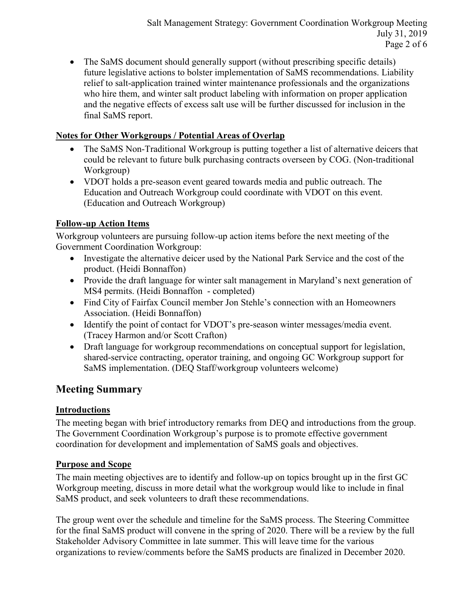• The SaMS document should generally support (without prescribing specific details) future legislative actions to bolster implementation of SaMS recommendations. Liability relief to salt-application trained winter maintenance professionals and the organizations who hire them, and winter salt product labeling with information on proper application and the negative effects of excess salt use will be further discussed for inclusion in the final SaMS report.

# **Notes for Other Workgroups / Potential Areas of Overlap**

- The SaMS Non-Traditional Workgroup is putting together a list of alternative deicers that could be relevant to future bulk purchasing contracts overseen by COG. (Non-traditional Workgroup)
- VDOT holds a pre-season event geared towards media and public outreach. The Education and Outreach Workgroup could coordinate with VDOT on this event. (Education and Outreach Workgroup)

# **Follow-up Action Items**

Workgroup volunteers are pursuing follow-up action items before the next meeting of the Government Coordination Workgroup:

- Investigate the alternative deicer used by the National Park Service and the cost of the product. (Heidi Bonnaffon)
- Provide the draft language for winter salt management in Maryland's next generation of MS4 permits. (Heidi Bonnaffon - completed)
- Find City of Fairfax Council member Jon Stehle's connection with an Homeowners Association. (Heidi Bonnaffon)
- Identify the point of contact for VDOT's pre-season winter messages/media event. (Tracey Harmon and/or Scott Crafton)
- Draft language for workgroup recommendations on conceptual support for legislation, shared-service contracting, operator training, and ongoing GC Workgroup support for SaMS implementation. (DEQ Staff/workgroup volunteers welcome)

# **Meeting Summary**

# **Introductions**

The meeting began with brief introductory remarks from DEQ and introductions from the group. The Government Coordination Workgroup's purpose is to promote effective government coordination for development and implementation of SaMS goals and objectives.

#### **Purpose and Scope**

The main meeting objectives are to identify and follow-up on topics brought up in the first GC Workgroup meeting, discuss in more detail what the workgroup would like to include in final SaMS product, and seek volunteers to draft these recommendations.

The group went over the schedule and timeline for the SaMS process. The Steering Committee for the final SaMS product will convene in the spring of 2020. There will be a review by the full Stakeholder Advisory Committee in late summer. This will leave time for the various organizations to review/comments before the SaMS products are finalized in December 2020.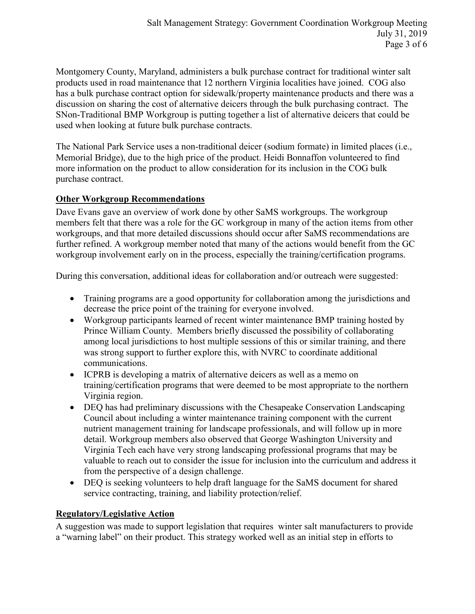Montgomery County, Maryland, administers a bulk purchase contract for traditional winter salt products used in road maintenance that 12 northern Virginia localities have joined. COG also has a bulk purchase contract option for sidewalk/property maintenance products and there was a discussion on sharing the cost of alternative deicers through the bulk purchasing contract. The SNon-Traditional BMP Workgroup is putting together a list of alternative deicers that could be used when looking at future bulk purchase contracts.

The National Park Service uses a non-traditional deicer (sodium formate) in limited places (i.e., Memorial Bridge), due to the high price of the product. Heidi Bonnaffon volunteered to find more information on the product to allow consideration for its inclusion in the COG bulk purchase contract.

#### **Other Workgroup Recommendations**

Dave Evans gave an overview of work done by other SaMS workgroups. The workgroup members felt that there was a role for the GC workgroup in many of the action items from other workgroups, and that more detailed discussions should occur after SaMS recommendations are further refined. A workgroup member noted that many of the actions would benefit from the GC workgroup involvement early on in the process, especially the training/certification programs.

During this conversation, additional ideas for collaboration and/or outreach were suggested:

- Training programs are a good opportunity for collaboration among the jurisdictions and decrease the price point of the training for everyone involved.
- Workgroup participants learned of recent winter maintenance BMP training hosted by Prince William County. Members briefly discussed the possibility of collaborating among local jurisdictions to host multiple sessions of this or similar training, and there was strong support to further explore this, with NVRC to coordinate additional communications.
- ICPRB is developing a matrix of alternative deicers as well as a memo on training/certification programs that were deemed to be most appropriate to the northern Virginia region.
- DEQ has had preliminary discussions with the Chesapeake Conservation Landscaping Council about including a winter maintenance training component with the current nutrient management training for landscape professionals, and will follow up in more detail. Workgroup members also observed that George Washington University and Virginia Tech each have very strong landscaping professional programs that may be valuable to reach out to consider the issue for inclusion into the curriculum and address it from the perspective of a design challenge.
- DEQ is seeking volunteers to help draft language for the SaMS document for shared service contracting, training, and liability protection/relief.

#### **Regulatory/Legislative Action**

A suggestion was made to support legislation that requires winter salt manufacturers to provide a "warning label" on their product. This strategy worked well as an initial step in efforts to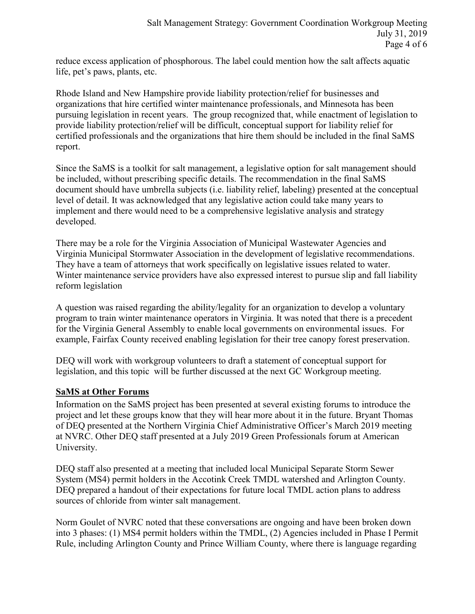reduce excess application of phosphorous. The label could mention how the salt affects aquatic life, pet's paws, plants, etc.

Rhode Island and New Hampshire provide liability protection/relief for businesses and organizations that hire certified winter maintenance professionals, and Minnesota has been pursuing legislation in recent years. The group recognized that, while enactment of legislation to provide liability protection/relief will be difficult, conceptual support for liability relief for certified professionals and the organizations that hire them should be included in the final SaMS report.

Since the SaMS is a toolkit for salt management, a legislative option for salt management should be included, without prescribing specific details. The recommendation in the final SaMS document should have umbrella subjects (i.e. liability relief, labeling) presented at the conceptual level of detail. It was acknowledged that any legislative action could take many years to implement and there would need to be a comprehensive legislative analysis and strategy developed.

There may be a role for the Virginia Association of Municipal Wastewater Agencies and Virginia Municipal Stormwater Association in the development of legislative recommendations. They have a team of attorneys that work specifically on legislative issues related to water. Winter maintenance service providers have also expressed interest to pursue slip and fall liability reform legislation

A question was raised regarding the ability/legality for an organization to develop a voluntary program to train winter maintenance operators in Virginia. It was noted that there is a precedent for the Virginia General Assembly to enable local governments on environmental issues. For example, Fairfax County received enabling legislation for their tree canopy forest preservation.

DEQ will work with workgroup volunteers to draft a statement of conceptual support for legislation, and this topic will be further discussed at the next GC Workgroup meeting.

# **SaMS at Other Forums**

Information on the SaMS project has been presented at several existing forums to introduce the project and let these groups know that they will hear more about it in the future. Bryant Thomas of DEQ presented at the Northern Virginia Chief Administrative Officer's March 2019 meeting at NVRC. Other DEQ staff presented at a July 2019 Green Professionals forum at American University.

DEQ staff also presented at a meeting that included local Municipal Separate Storm Sewer System (MS4) permit holders in the Accotink Creek TMDL watershed and Arlington County. DEQ prepared a handout of their expectations for future local TMDL action plans to address sources of chloride from winter salt management.

Norm Goulet of NVRC noted that these conversations are ongoing and have been broken down into 3 phases: (1) MS4 permit holders within the TMDL, (2) Agencies included in Phase I Permit Rule, including Arlington County and Prince William County, where there is language regarding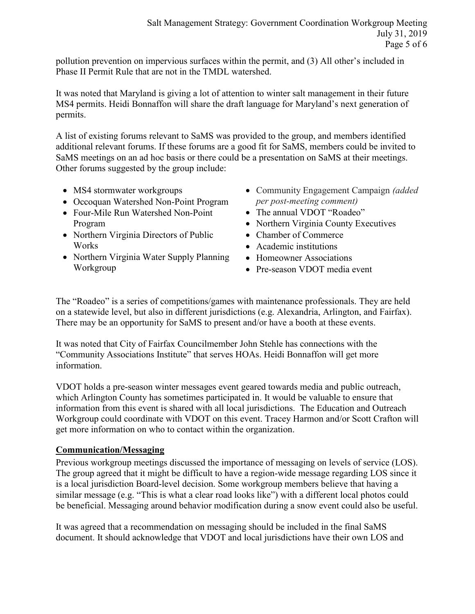pollution prevention on impervious surfaces within the permit, and (3) All other's included in Phase II Permit Rule that are not in the TMDL watershed.

It was noted that Maryland is giving a lot of attention to winter salt management in their future MS4 permits. Heidi Bonnaffon will share the draft language for Maryland's next generation of permits.

A list of existing forums relevant to SaMS was provided to the group, and members identified additional relevant forums. If these forums are a good fit for SaMS, members could be invited to SaMS meetings on an ad hoc basis or there could be a presentation on SaMS at their meetings. Other forums suggested by the group include:

- MS4 stormwater workgroups
- Occoquan Watershed Non-Point Program
- Four-Mile Run Watershed Non-Point Program
- Northern Virginia Directors of Public Works
- Northern Virginia Water Supply Planning Workgroup
- Community Engagement Campaign *(added per post-meeting comment)*
- The annual VDOT "Roadeo"
- Northern Virginia County Executives
- Chamber of Commerce
- Academic institutions
- Homeowner Associations
- Pre-season VDOT media event

The "Roadeo" is a series of competitions/games with maintenance professionals. They are held on a statewide level, but also in different jurisdictions (e.g. Alexandria, Arlington, and Fairfax). There may be an opportunity for SaMS to present and/or have a booth at these events.

It was noted that City of Fairfax Councilmember John Stehle has connections with the "Community Associations Institute" that serves HOAs. Heidi Bonnaffon will get more information.

VDOT holds a pre-season winter messages event geared towards media and public outreach, which Arlington County has sometimes participated in. It would be valuable to ensure that information from this event is shared with all local jurisdictions. The Education and Outreach Workgroup could coordinate with VDOT on this event. Tracey Harmon and/or Scott Crafton will get more information on who to contact within the organization.

# **Communication/Messaging**

Previous workgroup meetings discussed the importance of messaging on levels of service (LOS). The group agreed that it might be difficult to have a region-wide message regarding LOS since it is a local jurisdiction Board-level decision. Some workgroup members believe that having a similar message (e.g. "This is what a clear road looks like") with a different local photos could be beneficial. Messaging around behavior modification during a snow event could also be useful.

It was agreed that a recommendation on messaging should be included in the final SaMS document. It should acknowledge that VDOT and local jurisdictions have their own LOS and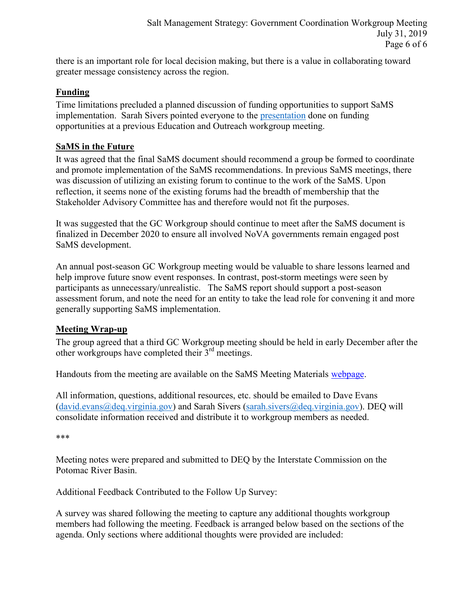there is an important role for local decision making, but there is a value in collaborating toward greater message consistency across the region.

#### **Funding**

Time limitations precluded a planned discussion of funding opportunities to support SaMS implementation. Sarah Sivers pointed everyone to the [presentation](https://www.deq.virginia.gov/Portals/0/DEQ/Water/TMDL/SaMS/MeetingMaterials/EandOwg/Meeting2/SaMS_EOWG_ActionItem-5-FundingOpportunities_20190124.pdf?ver=2019-01-28-213714-377) done on funding opportunities at a previous Education and Outreach workgroup meeting.

#### **SaMS in the Future**

It was agreed that the final SaMS document should recommend a group be formed to coordinate and promote implementation of the SaMS recommendations. In previous SaMS meetings, there was discussion of utilizing an existing forum to continue to the work of the SaMS. Upon reflection, it seems none of the existing forums had the breadth of membership that the Stakeholder Advisory Committee has and therefore would not fit the purposes.

It was suggested that the GC Workgroup should continue to meet after the SaMS document is finalized in December 2020 to ensure all involved NoVA governments remain engaged post SaMS development.

An annual post-season GC Workgroup meeting would be valuable to share lessons learned and help improve future snow event responses. In contrast, post-storm meetings were seen by participants as unnecessary/unrealistic. The SaMS report should support a post-season assessment forum, and note the need for an entity to take the lead role for convening it and more generally supporting SaMS implementation.

#### **Meeting Wrap-up**

The group agreed that a third GC Workgroup meeting should be held in early December after the other workgroups have completed their  $3<sup>rd</sup>$  meetings.

Handouts from the meeting are available on the SaMS Meeting Materials [webpage.](https://www.deq.virginia.gov/SaMS/MeetingMaterials.aspx)

All information, questions, additional resources, etc. should be emailed to Dave Evans [\(david.evans@deq.virginia.gov\)](mailto:david.evans@deq.virginia.gov) and Sarah Sivers [\(sarah.sivers@deq.virginia.gov\)](mailto:sarah.sivers@deq.virginia.gov). DEQ will consolidate information received and distribute it to workgroup members as needed.

\*\*\*

Meeting notes were prepared and submitted to DEQ by the Interstate Commission on the Potomac River Basin.

Additional Feedback Contributed to the Follow Up Survey:

A survey was shared following the meeting to capture any additional thoughts workgroup members had following the meeting. Feedback is arranged below based on the sections of the agenda. Only sections where additional thoughts were provided are included: